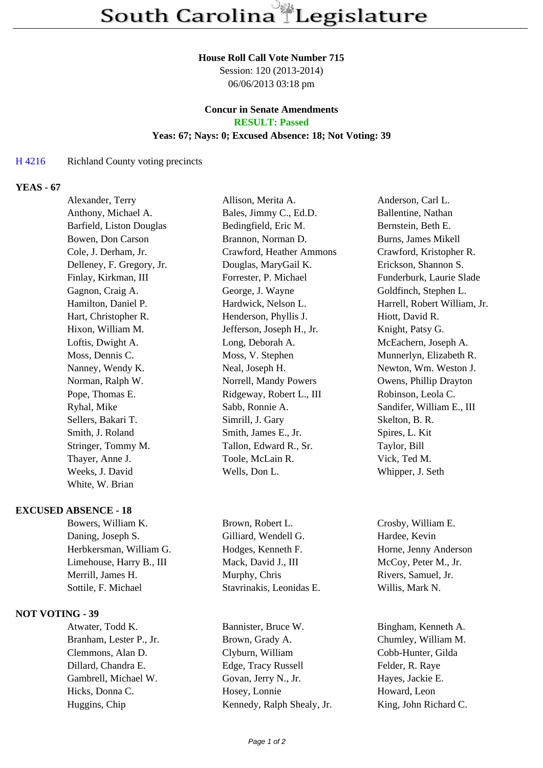#### **House Roll Call Vote Number 715**

Session: 120 (2013-2014) 06/06/2013 03:18 pm

#### **Concur in Senate Amendments RESULT: Passed**

## **Yeas: 67; Nays: 0; Excused Absence: 18; Not Voting: 39**

#### H 4216 Richland County voting precincts

# **YEAS - 67**

| Alexander, Terry          | Allison, Merita A.        | Anderson, Carl L.            |
|---------------------------|---------------------------|------------------------------|
| Anthony, Michael A.       | Bales, Jimmy C., Ed.D.    | Ballentine, Nathan           |
| Barfield, Liston Douglas  | Bedingfield, Eric M.      | Bernstein, Beth E.           |
| Bowen, Don Carson         | Brannon, Norman D.        | Burns, James Mikell          |
| Cole, J. Derham, Jr.      | Crawford, Heather Ammons  | Crawford, Kristopher R.      |
| Delleney, F. Gregory, Jr. | Douglas, MaryGail K.      | Erickson, Shannon S.         |
| Finlay, Kirkman, III      | Forrester, P. Michael     | Funderburk, Laurie Slade     |
| Gagnon, Craig A.          | George, J. Wayne          | Goldfinch, Stephen L.        |
| Hamilton, Daniel P.       | Hardwick, Nelson L.       | Harrell, Robert William, Jr. |
| Hart, Christopher R.      | Henderson, Phyllis J.     | Hiott, David R.              |
| Hixon, William M.         | Jefferson, Joseph H., Jr. | Knight, Patsy G.             |
| Loftis, Dwight A.         | Long, Deborah A.          | McEachern, Joseph A.         |
| Moss, Dennis C.           | Moss, V. Stephen          | Munnerlyn, Elizabeth R.      |
| Nanney, Wendy K.          | Neal, Joseph H.           | Newton, Wm. Weston J.        |
| Norman, Ralph W.          | Norrell, Mandy Powers     | Owens, Phillip Drayton       |
| Pope, Thomas E.           | Ridgeway, Robert L., III  | Robinson, Leola C.           |
| Ryhal, Mike               | Sabb, Ronnie A.           | Sandifer, William E., III    |
| Sellers, Bakari T.        | Simrill, J. Gary          | Skelton, B. R.               |
| Smith, J. Roland          | Smith, James E., Jr.      | Spires, L. Kit               |
| Stringer, Tommy M.        | Tallon, Edward R., Sr.    | Taylor, Bill                 |
| Thayer, Anne J.           | Toole, McLain R.          | Vick, Ted M.                 |
| Weeks, J. David           | Wells, Don L.             | Whipper, J. Seth             |
| White, W. Brian           |                           |                              |
|                           |                           |                              |

### **EXCUSED ABSENCE - 18**

| Bowers, William K.       | Brown, Robert L.         | Crosby, William E.    |
|--------------------------|--------------------------|-----------------------|
| Daning, Joseph S.        | Gilliard, Wendell G.     | Hardee, Kevin         |
| Herbkersman, William G.  | Hodges, Kenneth F.       | Horne, Jenny Anderson |
| Limehouse, Harry B., III | Mack, David J., III      | McCoy, Peter M., Jr.  |
| Merrill, James H.        | Murphy, Chris            | Rivers, Samuel, Jr.   |
| Sottile, F. Michael      | Stavrinakis, Leonidas E. | Willis, Mark N.       |
|                          |                          |                       |

#### **NOT VOTING - 39**

Atwater, Todd K. Bannister, Bruce W. Bingham, Kenneth A. Branham, Lester P., Jr. Brown, Grady A. Chumley, William M. Clemmons, Alan D. Clyburn, William Cobb-Hunter, Gilda Dillard, Chandra E. Edge, Tracy Russell Felder, R. Raye Gambrell, Michael W. Govan, Jerry N., Jr. Hayes, Jackie E. Hicks, Donna C. **Hosey, Lonnie** Howard, Leon Huggins, Chip Kennedy, Ralph Shealy, Jr. King, John Richard C.